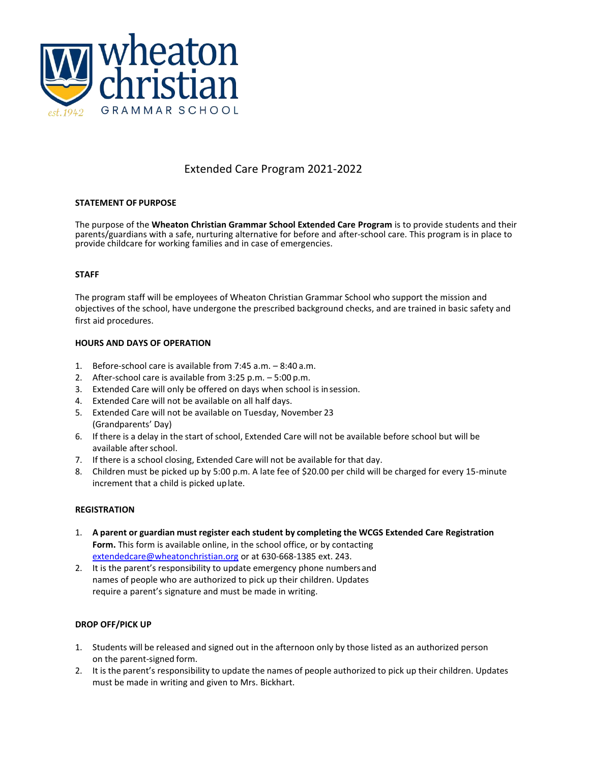

# Extended Care Program 2021-2022

## **STATEMENT OF PURPOSE**

The purpose of the **Wheaton Christian Grammar School Extended Care Program** is to provide students and their parents/guardians with a safe, nurturing alternative for before and after-school care. This program is in place to provide childcare for working families and in case of emergencies.

## **STAFF**

The program staff will be employees of Wheaton Christian Grammar School who support the mission and objectives of the school, have undergone the prescribed background checks, and are trained in basic safety and first aid procedures.

## **HOURS AND DAYS OF OPERATION**

- 1. Before-school care is available from 7:45 a.m. 8:40 a.m.
- 2. After-school care is available from 3:25 p.m. 5:00 p.m.
- 3. Extended Care will only be offered on days when school is insession.
- 4. Extended Care will not be available on all half days.
- 5. Extended Care will not be available on Tuesday, November 23 (Grandparents' Day)
- 6. If there is a delay in the start of school, Extended Care will not be available before school but will be available afterschool.
- 7. If there is a school closing, Extended Care will not be available for that day.
- 8. Children must be picked up by 5:00 p.m. A late fee of \$20.00 per child will be charged for every 15-minute increment that a child is picked uplate.

## **REGISTRATION**

- 1. **A parent or guardian must register each student by completing the WCGS Extended Care Registration Form.** This form is available online, in the school office, or by contacting [extendedcare@wheatonchristian.org](mailto:tjohnson@wheatonchristian.org) or at [630-668-1385 ext.](mailto:tjohnson@wheatonchristian.org) 243.
- 2. It is the parent's responsibility to update emergency phone numbersand names of people who are authorized to pick up their children. Updates require a parent's signature and must be made in writing.

## **DROP OFF/PICK UP**

- 1. Students will be released and signed out in the afternoon only by those listed as an authorized person on the parent-signed form.
- 2. It is the parent's responsibility to update the names of people authorized to pick up their children. Updates must be made in writing and given to Mrs. Bickhart.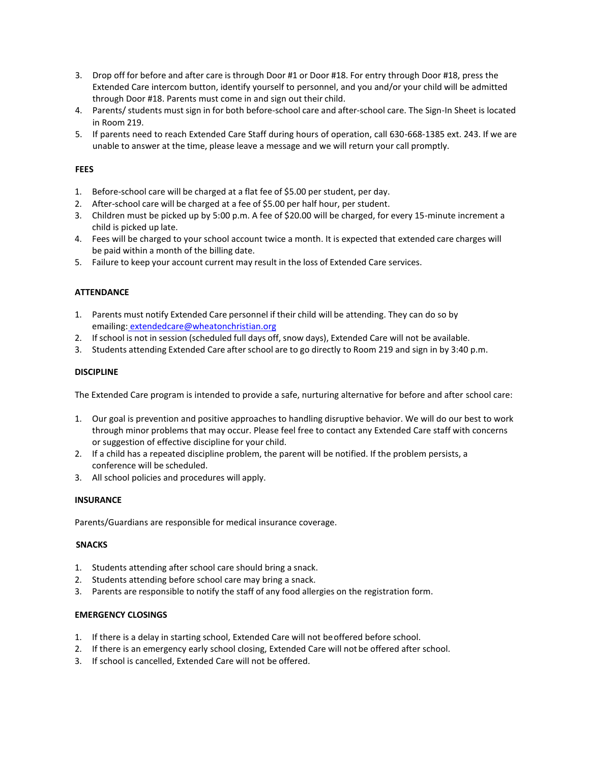- 3. Drop off for before and after care is through Door #1 or Door #18. For entry through Door #18, press the Extended Care intercom button, identify yourself to personnel, and you and/or your child will be admitted through Door #18. Parents must come in and sign out their child.
- 4. Parents/ students must sign in for both before-school care and after-school care. The Sign-In Sheet is located in Room 219.
- 5. If parents need to reach Extended Care Staff during hours of operation, call 630-668-1385 ext. 243. If we are unable to answer at the time, please leave a message and we will return your call promptly.

## **FEES**

- 1. Before-school care will be charged at a flat fee of \$5.00 per student, per day.
- 2. After-school care will be charged at a fee of \$5.00 per half hour, per student.
- 3. Children must be picked up by 5:00 p.m. A fee of \$20.00 will be charged, for every 15-minute increment a child is picked up late.
- 4. Fees will be charged to your school account twice a month. It is expected that extended care charges will be paid within a month of the billing date.
- 5. Failure to keep your account current may result in the loss of Extended Care services.

## **ATTENDANCE**

- 1. Parents must notify Extended Care personnel if their child will be attending. They can do so by emailing: [extendedcare@wheatonchristian.org](mailto:tjohnson@wheatonchristian.org)
- 2. Ifschool is not in session (scheduled full days off, snow days), Extended Care will not be available.
- 3. Students attending Extended Care afterschool are to go directly to Room 219 and sign in by 3:40 p.m.

## **DISCIPLINE**

The Extended Care program is intended to provide a safe, nurturing alternative for before and after school care:

- 1. Our goal is prevention and positive approaches to handling disruptive behavior. We will do our best to work through minor problems that may occur. Please feel free to contact any Extended Care staff with concerns or suggestion of effective discipline for your child.
- 2. If a child has a repeated discipline problem, the parent will be notified. If the problem persists, a conference will be scheduled.
- 3. All school policies and procedures will apply.

## **INSURANCE**

Parents/Guardians are responsible for medical insurance coverage.

## **SNACKS**

- 1. Students attending after school care should bring a snack.
- 2. Students attending before school care may bring a snack.
- 3. Parents are responsible to notify the staff of any food allergies on the registration form.

## **EMERGENCY CLOSINGS**

- 1. If there is a delay in starting school, Extended Care will not beoffered before school.
- 2. If there is an emergency early school closing, Extended Care will not be offered after school.
- 3. If school is cancelled, Extended Care will not be offered.